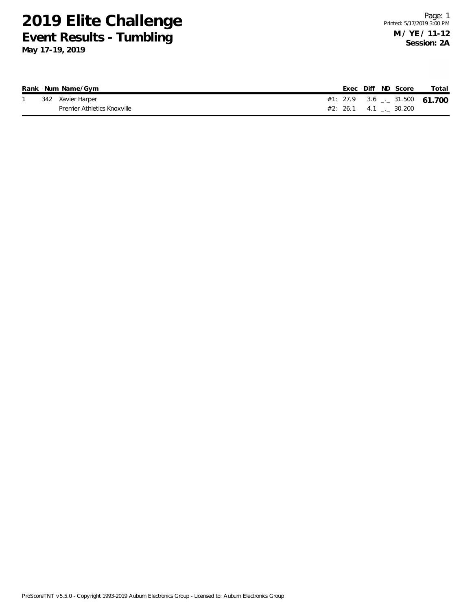|  | Rank Num Name/Gym           |  | Exec Diff ND Score             | Total |
|--|-----------------------------|--|--------------------------------|-------|
|  | 342 Xavier Harper           |  | #1: 27.9 3.6 $-$ 31.500 61.700 |       |
|  | Premier Athletics Knoxville |  | $#2: 26.1 4.1$ $-. 30.200$     |       |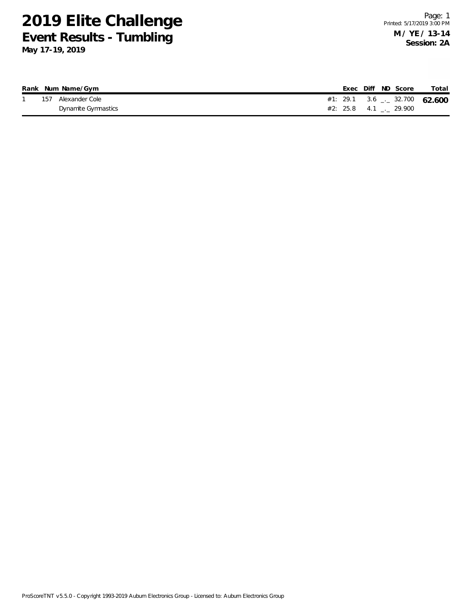|     | Rank Num Name/Gym   |  | Exec Diff ND Score             | Total |
|-----|---------------------|--|--------------------------------|-------|
| 157 | Alexander Cole      |  | #1: 29.1 3.6 $-$ 32.700 62.600 |       |
|     | Dynamite Gymnastics |  | $#2: 25.8 4.1$ $-29.900$       |       |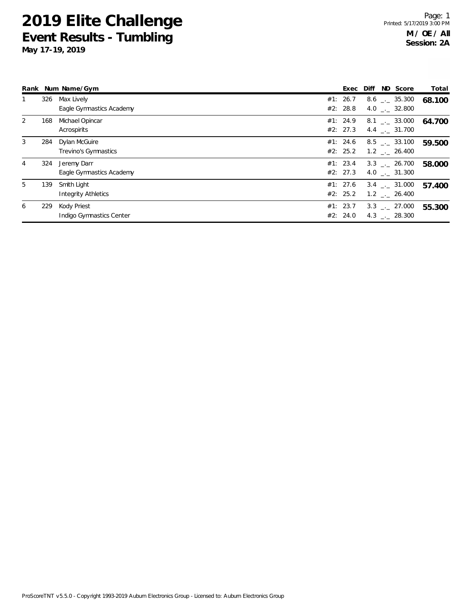|   |     | Rank Num Name/Gym                         | Exec                 | Diff | ND Score                                             | Total  |
|---|-----|-------------------------------------------|----------------------|------|------------------------------------------------------|--------|
|   | 326 | Max Lively<br>Eagle Gymnastics Academy    | #1: 26.7<br>#2: 28.8 |      | $8.6$ $_{-1}$ 35.300<br>4.0 $\qquad$ $\qquad$ 32.800 | 68.100 |
| 2 | 168 | Michael Opincar<br>Acrospirits            | #1: 24.9<br>#2: 27.3 |      | $8.1$ $_{-1}$ 33.000<br>$4.4$ $_{-}$ 31.700          | 64.700 |
| 3 | 284 | Dylan McGuire<br>Trevino's Gymnastics     | #1: 24.6<br>#2: 25.2 |      | 8.5 . 33.100<br>1.2 . 26.400                         | 59.500 |
| 4 | 324 | Jeremy Darr<br>Eagle Gymnastics Academy   | #1: 23.4<br>#2: 27.3 |      | 3.3 . 26.700<br>4.0 . 31.300                         | 58.000 |
| 5 | 139 | Smith Light<br><b>Integrity Athletics</b> | #1: 27.6<br>#2: 25.2 |      | $3.4$ $-.$ 31.000<br>$1.2$ _._ 26.400                | 57.400 |
| 6 | 229 | Kody Priest<br>Indigo Gymnastics Center   | #1: 23.7<br>#2: 24.0 |      | $3.3$ $-.$ 27.000<br>4.3 . 28.300                    | 55.300 |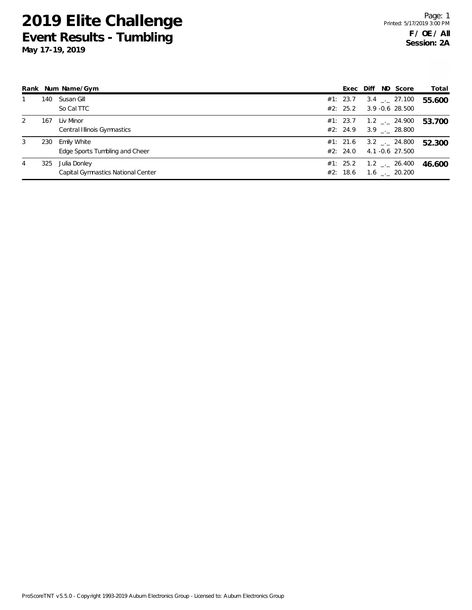|   |     | Rank Num Name/Gym                                  | Exec                 | Diff | ND Score                                               | Total  |
|---|-----|----------------------------------------------------|----------------------|------|--------------------------------------------------------|--------|
|   | 140 | Susan Gill<br>So Cal TTC                           | #1: 23.7<br>#2: 25.2 |      | $3.4$ $-27.100$<br>3.9 -0.6 28.500                     | 55.600 |
| 2 | 167 | Liv Minor<br>Central Illinois Gymnastics           | #1: 23.7<br>#2: 24.9 |      | $1.2$ $_{-}$ 24.900<br>$3.9$ $_{-1}$ 28.800            | 53.700 |
| 3 | 230 | Emily White<br>Edge Sports Tumbling and Cheer      | #1: 21.6<br>#2: 24.0 |      | $3.2$ $-24.800$<br>4.1 -0.6 27.500                     | 52.300 |
| 4 | 325 | Julia Donley<br>Capital Gymnastics National Center | #1: 25.2<br>#2: 18.6 |      | $1.2$ $_{\leftarrow}$ 26.400<br>$1.6$ $_{\sim}$ 20.200 | 46.600 |

ProScoreTNT v5.5.0 - Copyright 1993-2019 Auburn Electronics Group - Licensed to: Auburn Electronics Group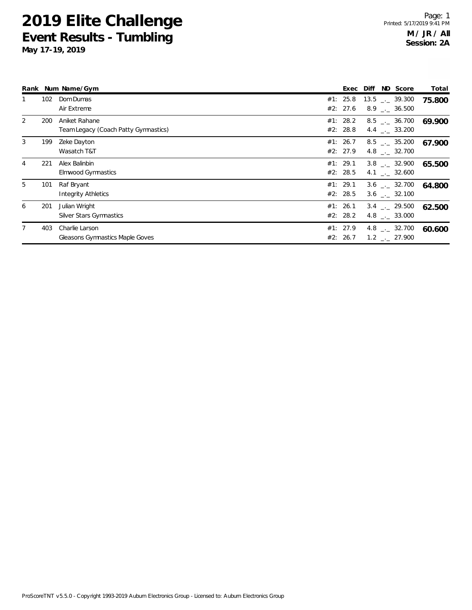| Rank           |     | Num Name/Gym                                             | Exec                 | ND Score<br>Diff                                | Total  |
|----------------|-----|----------------------------------------------------------|----------------------|-------------------------------------------------|--------|
|                | 102 | Dom Dumas<br>Air Extreme                                 | #1: 25.8<br>#2: 27.6 | $13.5$ $_{--}$ 39.300<br>$8.9$ $_{\sim}$ 36.500 | 75.800 |
| $\overline{2}$ | 200 | Aniket Rahane<br>Team Legacy (Coach Patty Gymnastics)    | #1: 28.2<br>#2: 28.8 | $8.5$ $_{--}$ 36.700<br>4.4 $\qquad$ 33.200     | 69.900 |
| 3              | 199 | Zeke Dayton<br>Wasatch T&T                               | #1: 26.7<br>#2: 27.9 | $8.5$ $_{-.}$ 35.200<br>4.8 $\qquad$ $-$ 32.700 | 67.900 |
| 4              | 221 | Alex Balinbin<br>Elmwood Gymnastics                      | #1: 29.1<br>#2: 28.5 | $3.8$ $_{\sim}$ 32.900<br>4.1 . 32.600          | 65.500 |
| 5              | 101 | Raf Bryant<br><b>Integrity Athletics</b>                 | #1: 29.1<br>#2: 28.5 | $3.6$ $_{\sim}$ 32.700<br>3.6 . 32.100          | 64.800 |
| 6              | 201 | Julian Wright<br><b>Silver Stars Gymnastics</b>          | #1: 26.1<br>#2: 28.2 | $3.4$ $-.$ 29.500<br>$4.8$ $_{\sim}$ 33.000     | 62.500 |
|                | 403 | Charlie Larson<br><b>Gleasons Gymnastics Maple Goves</b> | #1: 27.9<br>#2: 26.7 | $4.8$ $_{\sim}$ 32.700<br>$1.2$ $_{-}$ 27.900   | 60.600 |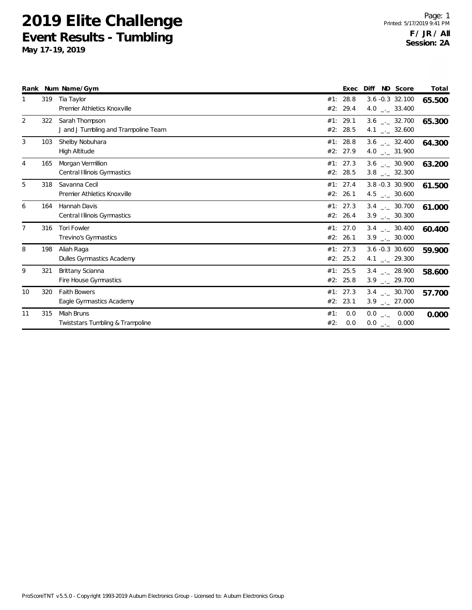|                |     | Rank Num Name/Gym                                      |            | Exec                 | ND Score<br>Diff                                              | Total  |
|----------------|-----|--------------------------------------------------------|------------|----------------------|---------------------------------------------------------------|--------|
|                | 319 | Tia Taylor<br>Premier Athletics Knoxville              | #1:<br>#2: | 28.8<br>29.4         | $3.6 - 0.3$ 32.100<br>4.0 $\frac{1}{2}$ 33.400                | 65.500 |
| $\overline{2}$ | 322 | Sarah Thompson<br>J and J Tumbling and Trampoline Team |            | #1: 29.1<br>#2: 28.5 | $3.6$ $_{\leftarrow}$ 32.700<br>4.1 $\qquad \qquad -2$ 32.600 | 65.300 |
| 3              | 103 | Shelby Nobuhara<br><b>High Altitude</b>                |            | #1: 28.8<br>#2: 27.9 | $3.6$ _._ 32.400<br>4.0 $_{\leftarrow}$ 31.900                | 64.300 |
| 4              | 165 | Morgan Vermillion<br>Central Illinois Gymnastics       |            | #1: 27.3<br>#2: 28.5 | $3.6$ $_{\leftarrow}$ 30.900<br>$3.8$ $_{\leftarrow}$ 32.300  | 63.200 |
| 5              | 318 | Savanna Cecil<br>Premier Athletics Knoxville           |            | #1: 27.4<br>#2: 26.1 | 3.8 -0.3 30.900<br>$4.5$ $_{\leftarrow}$ 30.600               | 61.500 |
| 6              | 164 | Hannah Davis<br>Central Illinois Gymnastics            | #2:        | #1: 27.3<br>26.4     | $3.4$ $_{\leftarrow}$ 30.700<br>$3.9$ $_{\leftarrow}$ 30.300  | 61.000 |
| $\overline{7}$ | 316 | <b>Tori Fowler</b><br>Trevino's Gymnastics             |            | #1: 27.0<br>#2: 26.1 | $3.4$ _._ 30.400<br>$3.9$ $_{\leftarrow}$ 30.000              | 60.400 |
| 8              | 198 | Aliah Raga<br>Dulles Gymnastics Academy                |            | #1: 27.3<br>#2: 25.2 | $3.6 - 0.3$ 30.600<br>4.1 $\frac{1}{2}$ 29.300                | 59.900 |
| 9              | 321 | Brittany Scianna<br>Fire House Gymnastics              |            | #1: 25.5<br>#2: 25.8 | $3.4$ $-.28.900$<br>$3.9$ $_{\leftarrow}$ 29.700              | 58.600 |
| 10             | 320 | <b>Faith Bowers</b><br>Eagle Gymnastics Academy        |            | #1: 27.3<br>#2: 23.1 | $3.4$ $\ldots$ 30.700<br>$3.9$ $_{\leftarrow}$ 27.000         | 57.700 |
| 11             | 315 | Miah Bruns<br>Twiststars Tumbling & Trampoline         | #1:<br>#2: | 0.0<br>0.0           | $0.0$ _._ 0.000<br>$0.0$ _ 0.000                              | 0.000  |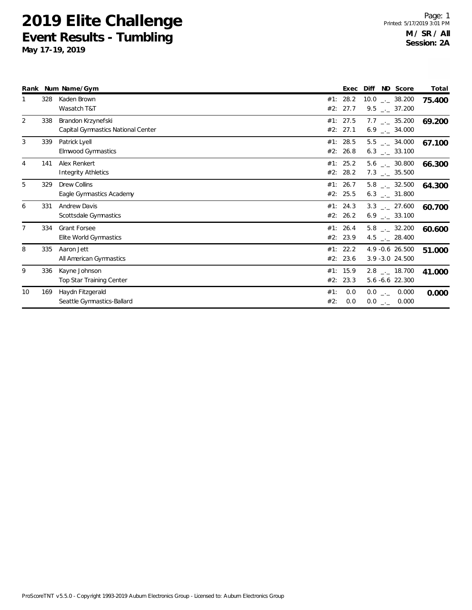|                |     | Rank Num Name/Gym                                        |            | Exec                 | Diff ND Score                                                |       | Total  |
|----------------|-----|----------------------------------------------------------|------------|----------------------|--------------------------------------------------------------|-------|--------|
|                | 328 | Kaden Brown<br>Wasatch T&T                               |            | #1: 28.2<br>#2: 27.7 | $10.0$ _ 38.200<br>$9.5$ $_{\leftarrow}$ 37.200              |       | 75.400 |
| $\overline{2}$ | 338 | Brandon Krzynefski<br>Capital Gymnastics National Center |            | #1: 27.5<br>#2: 27.1 | $7.7$ $_{\leftarrow}$ 35.200<br>$6.9$ $_{\leftarrow}$ 34.000 |       | 69.200 |
| 3              | 339 | Patrick Lyell<br>Elmwood Gymnastics                      |            | #1: 28.5<br>#2: 26.8 | $5.5$ $_{-}$ 34.000<br>$6.3$ $_{\leftarrow}$ 33.100          |       | 67.100 |
| 4              | 141 | Alex Renkert<br><b>Integrity Athletics</b>               |            | #1: 25.2<br>#2: 28.2 | $5.6$ __ 30.800<br>$7.3$ $_{\leftarrow}$ 35.500              |       | 66.300 |
| 5              | 329 | <b>Drew Collins</b><br>Eagle Gymnastics Academy          |            | #1: 26.7<br>#2: 25.5 | $5.8$ $_{-1}$ 32.500<br>$6.3$ __ 31.800                      |       | 64.300 |
| 6              | 331 | <b>Andrew Davis</b><br>Scottsdale Gymnastics             |            | #1: 24.3<br>#2: 26.2 | $3.3$ $_{\leftarrow}$ 27.600<br>$6.9$ $_{\leftarrow}$ 33.100 |       | 60.700 |
| $\overline{7}$ | 334 | <b>Grant Forsee</b><br>Elite World Gymnastics            |            | #1: 26.4<br>#2: 23.9 | $5.8$ $_{-}$ 32.200<br>4.5 $\qquad$ 28.400                   |       | 60.600 |
| 8              | 335 | Aaron Jett<br>All American Gymnastics                    |            | #1: 22.2<br>#2: 23.6 | 4.9 -0.6 26.500<br>3.9 - 3.0 24.500                          |       | 51.000 |
| 9              | 336 | Kayne Johnson<br><b>Top Star Training Center</b>         |            | #1: 15.9<br>#2: 23.3 | $2.8$ $_{\leftarrow}$ 18.700<br>5.6 -6.6 22.300              |       | 41.000 |
| 10             | 169 | Haydn Fitzgerald<br>Seattle Gymnastics-Ballard           | #1:<br>#2: | 0.0<br>0.0           | $0.0$ _._ 0.000<br>$0.0$ $_{-}$                              | 0.000 | 0.000  |